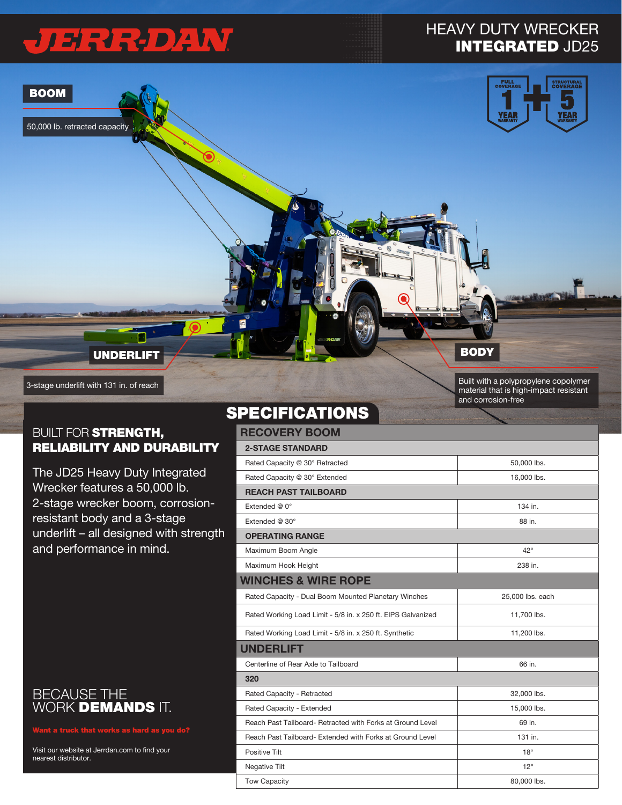# JERREDAW

50,000 lb. retracted capacity

BOOM

### HEAVY DUTY WRECKER INTEGRATED JD25



**BODY** 

Built with a polypropylene copolymer material that is high-impact resistant and corrosion-free

#### **BUILT FOR STRENGTH,** RELIABILITY AND DURABILITY

UNDERLIFT

3-stage underlift with 131 in. of reach

The JD25 Heavy Duty Integrated Wrecker features a 50,000 lb. 2-stage wrecker boom, corrosionresistant body and a 3-stage underlift – all designed with strength and performance in mind.

#### BECAUSE THE WORK **DEMANDS** IT.

Visit our website at Jerrdan.com to find your nearest distributor.

### **SPECIFICATIONS**

| <b>RECOVERY BOOM</b>                                         |                  |  |  |  |
|--------------------------------------------------------------|------------------|--|--|--|
| <b>2-STAGE STANDARD</b>                                      |                  |  |  |  |
| Rated Capacity @ 30° Retracted                               | 50,000 lbs.      |  |  |  |
| Rated Capacity @ 30° Extended                                | 16,000 lbs.      |  |  |  |
| <b>REACH PAST TAILBOARD</b>                                  |                  |  |  |  |
| Extended $@0°$                                               | 134 in.          |  |  |  |
| Extended @ 30°                                               | 88 in.           |  |  |  |
| <b>OPERATING RANGE</b>                                       |                  |  |  |  |
| Maximum Boom Angle                                           | $42^{\circ}$     |  |  |  |
| Maximum Hook Height                                          | 238 in.          |  |  |  |
| <b>WINCHES &amp; WIRE ROPE</b>                               |                  |  |  |  |
| Rated Capacity - Dual Boom Mounted Planetary Winches         | 25,000 lbs. each |  |  |  |
| Rated Working Load Limit - 5/8 in. x 250 ft. EIPS Galvanized | 11,700 lbs.      |  |  |  |
| Rated Working Load Limit - 5/8 in. x 250 ft. Synthetic       | 11,200 lbs.      |  |  |  |
| <b>UNDERLIFT</b>                                             |                  |  |  |  |
| Centerline of Rear Axle to Tailboard                         | 66 in.           |  |  |  |
| 320                                                          |                  |  |  |  |
| Rated Capacity - Retracted                                   | 32,000 lbs.      |  |  |  |
| Rated Capacity - Extended                                    | 15,000 lbs.      |  |  |  |
| Reach Past Tailboard- Retracted with Forks at Ground Level   | 69 in.           |  |  |  |
| Reach Past Tailboard- Extended with Forks at Ground Level    | 131 in.          |  |  |  |
| Positive Tilt                                                | $18^\circ$       |  |  |  |
| Negative Tilt                                                | $12^{\circ}$     |  |  |  |
| <b>Tow Capacity</b>                                          | 80,000 lbs.      |  |  |  |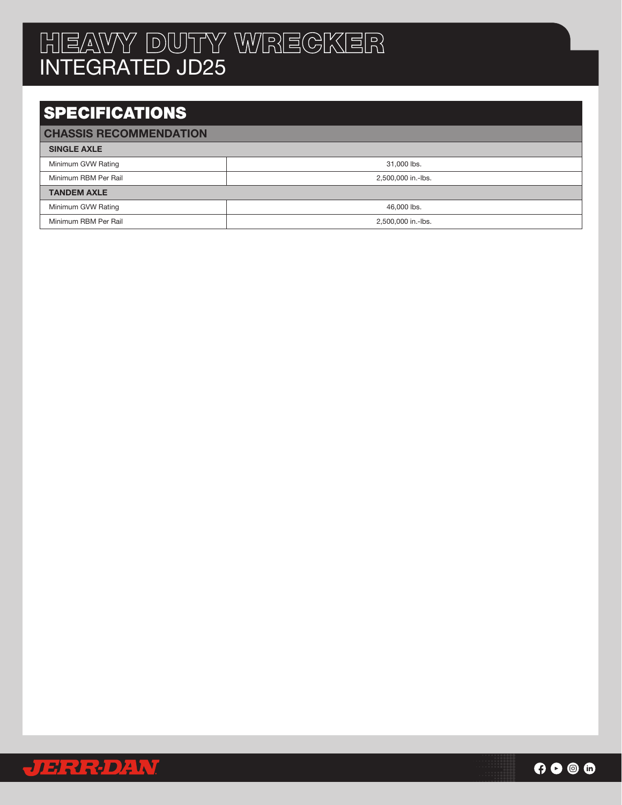## HEAVY DUTY WRECKER INTEGRATED JD25

## SPECIFICATIONS

#### CHASSIS RECOMMENDATION

| <b>SINGLE AXLE</b>   |                    |  |
|----------------------|--------------------|--|
| Minimum GVW Rating   | 31,000 lbs.        |  |
| Minimum RBM Per Rail | 2,500,000 in.-lbs. |  |
| <b>TANDEM AXLE</b>   |                    |  |
| Minimum GVW Rating   | 46,000 lbs.        |  |
| Minimum RBM Per Rail | 2,500,000 in.-lbs. |  |